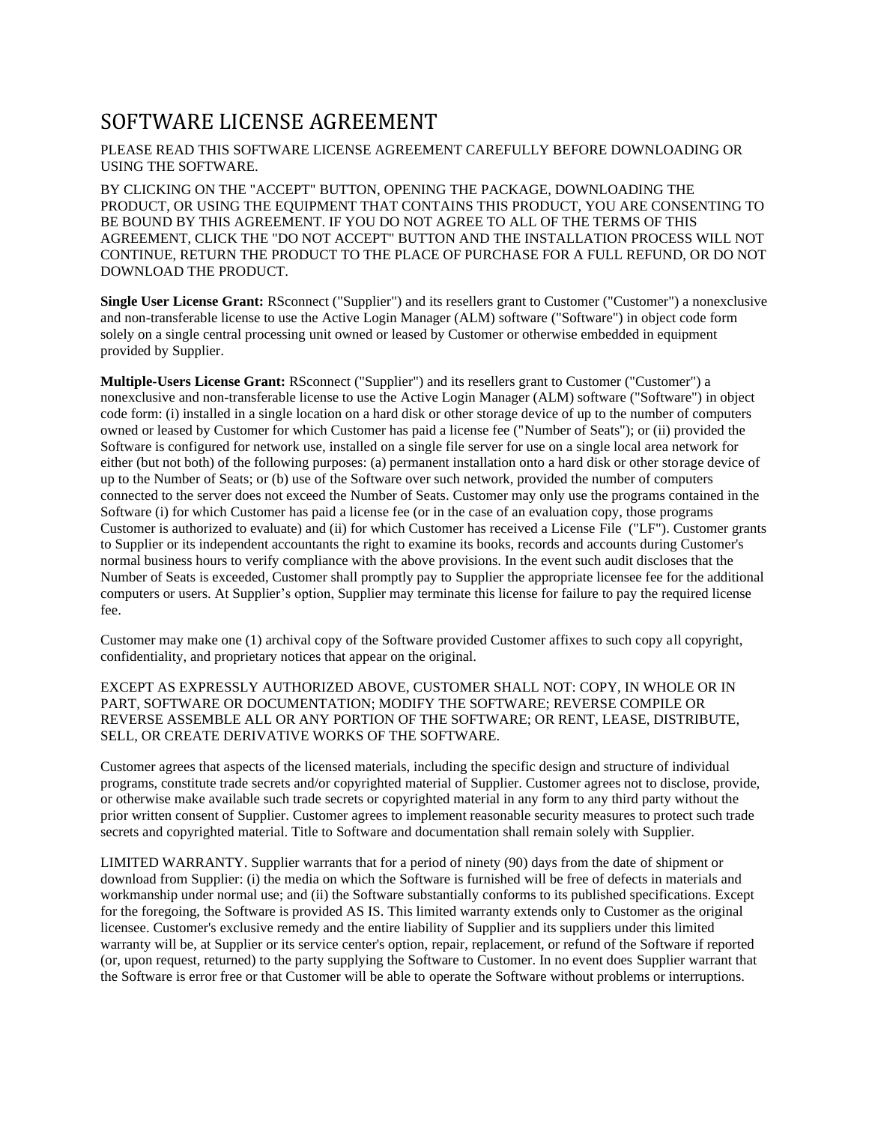## SOFTWARE LICENSE AGREEMENT

## PLEASE READ THIS SOFTWARE LICENSE AGREEMENT CAREFULLY BEFORE DOWNLOADING OR USING THE SOFTWARE.

BY CLICKING ON THE "ACCEPT" BUTTON, OPENING THE PACKAGE, DOWNLOADING THE PRODUCT, OR USING THE EQUIPMENT THAT CONTAINS THIS PRODUCT, YOU ARE CONSENTING TO BE BOUND BY THIS AGREEMENT. IF YOU DO NOT AGREE TO ALL OF THE TERMS OF THIS AGREEMENT, CLICK THE "DO NOT ACCEPT" BUTTON AND THE INSTALLATION PROCESS WILL NOT CONTINUE, RETURN THE PRODUCT TO THE PLACE OF PURCHASE FOR A FULL REFUND, OR DO NOT DOWNLOAD THE PRODUCT.

**Single User License Grant:** RSconnect ("Supplier") and its resellers grant to Customer ("Customer") a nonexclusive and non-transferable license to use the Active Login Manager (ALM) software ("Software") in object code form solely on a single central processing unit owned or leased by Customer or otherwise embedded in equipment provided by Supplier.

**Multiple-Users License Grant:** RSconnect ("Supplier") and its resellers grant to Customer ("Customer") a nonexclusive and non-transferable license to use the Active Login Manager (ALM) software ("Software") in object code form: (i) installed in a single location on a hard disk or other storage device of up to the number of computers owned or leased by Customer for which Customer has paid a license fee ("Number of Seats"); or (ii) provided the Software is configured for network use, installed on a single file server for use on a single local area network for either (but not both) of the following purposes: (a) permanent installation onto a hard disk or other storage device of up to the Number of Seats; or (b) use of the Software over such network, provided the number of computers connected to the server does not exceed the Number of Seats. Customer may only use the programs contained in the Software (i) for which Customer has paid a license fee (or in the case of an evaluation copy, those programs Customer is authorized to evaluate) and (ii) for which Customer has received a License File ("LF"). Customer grants to Supplier or its independent accountants the right to examine its books, records and accounts during Customer's normal business hours to verify compliance with the above provisions. In the event such audit discloses that the Number of Seats is exceeded, Customer shall promptly pay to Supplier the appropriate licensee fee for the additional computers or users. At Supplier's option, Supplier may terminate this license for failure to pay the required license fee.

Customer may make one (1) archival copy of the Software provided Customer affixes to such copy all copyright, confidentiality, and proprietary notices that appear on the original.

## EXCEPT AS EXPRESSLY AUTHORIZED ABOVE, CUSTOMER SHALL NOT: COPY, IN WHOLE OR IN PART, SOFTWARE OR DOCUMENTATION; MODIFY THE SOFTWARE; REVERSE COMPILE OR REVERSE ASSEMBLE ALL OR ANY PORTION OF THE SOFTWARE; OR RENT, LEASE, DISTRIBUTE, SELL, OR CREATE DERIVATIVE WORKS OF THE SOFTWARE.

Customer agrees that aspects of the licensed materials, including the specific design and structure of individual programs, constitute trade secrets and/or copyrighted material of Supplier. Customer agrees not to disclose, provide, or otherwise make available such trade secrets or copyrighted material in any form to any third party without the prior written consent of Supplier. Customer agrees to implement reasonable security measures to protect such trade secrets and copyrighted material. Title to Software and documentation shall remain solely with Supplier.

LIMITED WARRANTY. Supplier warrants that for a period of ninety (90) days from the date of shipment or download from Supplier: (i) the media on which the Software is furnished will be free of defects in materials and workmanship under normal use; and (ii) the Software substantially conforms to its published specifications. Except for the foregoing, the Software is provided AS IS. This limited warranty extends only to Customer as the original licensee. Customer's exclusive remedy and the entire liability of Supplier and its suppliers under this limited warranty will be, at Supplier or its service center's option, repair, replacement, or refund of the Software if reported (or, upon request, returned) to the party supplying the Software to Customer. In no event does Supplier warrant that the Software is error free or that Customer will be able to operate the Software without problems or interruptions.